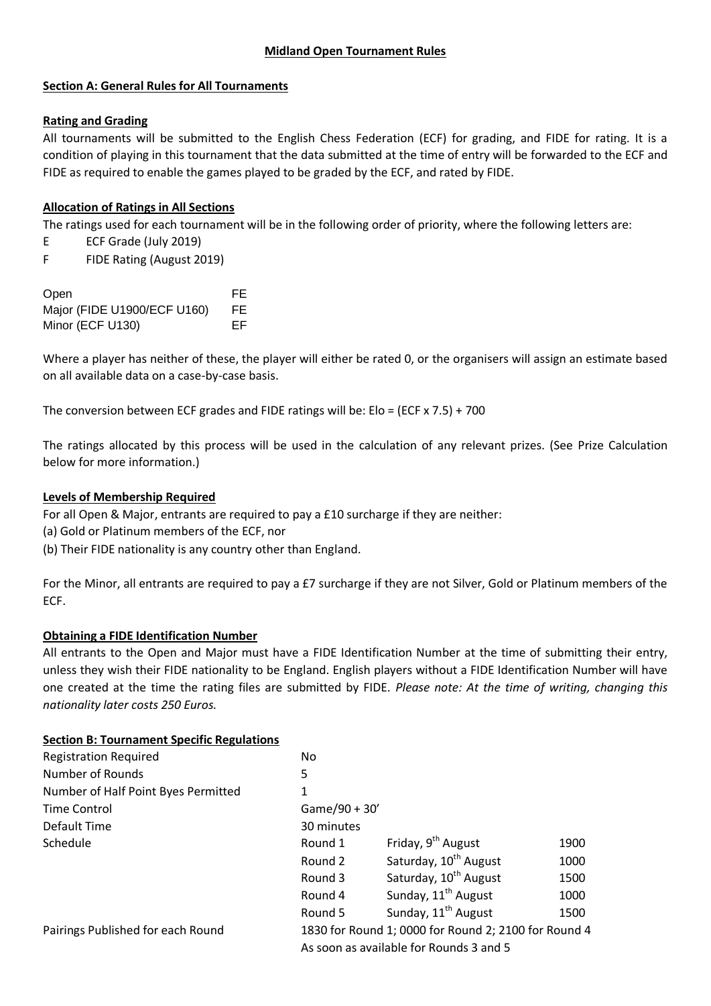## **Midland Open Tournament Rules**

### **Section A: General Rules for All Tournaments**

### **Rating and Grading**

All tournaments will be submitted to the English Chess Federation (ECF) for grading, and FIDE for rating. It is a condition of playing in this tournament that the data submitted at the time of entry will be forwarded to the ECF and FIDE as required to enable the games played to be graded by the ECF, and rated by FIDE.

### **Allocation of Ratings in All Sections**

The ratings used for each tournament will be in the following order of priority, where the following letters are:

- E ECF Grade (July 2019)
- F FIDE Rating (August 2019)

| Open                        | FF. |
|-----------------------------|-----|
| Major (FIDE U1900/ECF U160) | FE. |
| Minor (ECF U130)            | FF. |

Where a player has neither of these, the player will either be rated 0, or the organisers will assign an estimate based on all available data on a case-by-case basis.

The conversion between ECF grades and FIDE ratings will be: Elo = (ECF x 7.5) + 700

The ratings allocated by this process will be used in the calculation of any relevant prizes. (See Prize Calculation below for more information.)

#### **Levels of Membership Required**

For all Open & Major, entrants are required to pay a £10 surcharge if they are neither:

- (a) Gold or Platinum members of the ECF, nor
- (b) Their FIDE nationality is any country other than England.

For the Minor, all entrants are required to pay a £7 surcharge if they are not Silver, Gold or Platinum members of the ECF.

#### **Obtaining a FIDE Identification Number**

All entrants to the Open and Major must have a FIDE Identification Number at the time of submitting their entry, unless they wish their FIDE nationality to be England. English players without a FIDE Identification Number will have one created at the time the rating files are submitted by FIDE. *Please note: At the time of writing, changing this nationality later costs 250 Euros.*

#### **Section B: Tournament Specific Regulations**

| <b>Registration Required</b>        | No                                                   |                                   |      |
|-------------------------------------|------------------------------------------------------|-----------------------------------|------|
| Number of Rounds                    | 5                                                    |                                   |      |
| Number of Half Point Byes Permitted | 1                                                    |                                   |      |
| <b>Time Control</b>                 | Game/90 + 30'                                        |                                   |      |
| Default Time                        | 30 minutes                                           |                                   |      |
| Schedule                            | Round 1                                              | Friday, 9 <sup>th</sup> August    | 1900 |
|                                     | Round 2                                              | Saturday, 10 <sup>th</sup> August | 1000 |
|                                     | Round 3                                              | Saturday, 10 <sup>th</sup> August | 1500 |
|                                     | Round 4                                              | Sunday, 11 <sup>th</sup> August   | 1000 |
|                                     | Round 5                                              | Sunday, 11 <sup>th</sup> August   | 1500 |
| Pairings Published for each Round   | 1830 for Round 1; 0000 for Round 2; 2100 for Round 4 |                                   |      |
|                                     | As soon as available for Rounds 3 and 5              |                                   |      |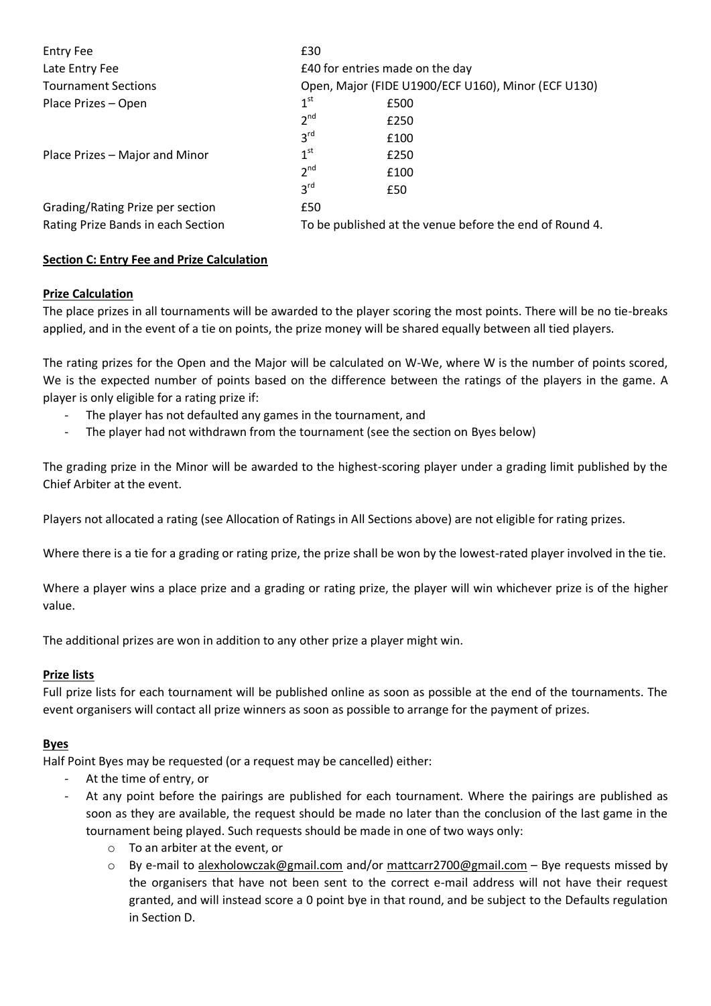| <b>Entry Fee</b>                   | £30                                                     |      |  |
|------------------------------------|---------------------------------------------------------|------|--|
| Late Entry Fee                     | £40 for entries made on the day                         |      |  |
| <b>Tournament Sections</b>         | Open, Major (FIDE U1900/ECF U160), Minor (ECF U130)     |      |  |
| Place Prizes - Open                | 1 <sup>st</sup>                                         | £500 |  |
|                                    | 2 <sup>nd</sup>                                         | £250 |  |
|                                    | 3 <sup>rd</sup>                                         | £100 |  |
| Place Prizes – Major and Minor     | 1 <sup>st</sup>                                         | £250 |  |
|                                    | 2 <sub>nd</sub>                                         | £100 |  |
|                                    | 3 <sup>rd</sup>                                         | £50  |  |
| Grading/Rating Prize per section   | £50                                                     |      |  |
| Rating Prize Bands in each Section | To be published at the venue before the end of Round 4. |      |  |

# **Section C: Entry Fee and Prize Calculation**

### **Prize Calculation**

The place prizes in all tournaments will be awarded to the player scoring the most points. There will be no tie-breaks applied, and in the event of a tie on points, the prize money will be shared equally between all tied players.

The rating prizes for the Open and the Major will be calculated on W-We, where W is the number of points scored, We is the expected number of points based on the difference between the ratings of the players in the game. A player is only eligible for a rating prize if:

- The player has not defaulted any games in the tournament, and
- The player had not withdrawn from the tournament (see the section on Byes below)

The grading prize in the Minor will be awarded to the highest-scoring player under a grading limit published by the Chief Arbiter at the event.

Players not allocated a rating (see Allocation of Ratings in All Sections above) are not eligible for rating prizes.

Where there is a tie for a grading or rating prize, the prize shall be won by the lowest-rated player involved in the tie.

Where a player wins a place prize and a grading or rating prize, the player will win whichever prize is of the higher value.

The additional prizes are won in addition to any other prize a player might win.

## **Prize lists**

Full prize lists for each tournament will be published online as soon as possible at the end of the tournaments. The event organisers will contact all prize winners as soon as possible to arrange for the payment of prizes.

#### **Byes**

Half Point Byes may be requested (or a request may be cancelled) either:

- At the time of entry, or
- At any point before the pairings are published for each tournament. Where the pairings are published as soon as they are available, the request should be made no later than the conclusion of the last game in the tournament being played. Such requests should be made in one of two ways only:
	- o To an arbiter at the event, or
	- $\circ$  By e-mail to alexholowczak@gmail.com and/or mattcarr2700@gmail.com Bye requests missed by the organisers that have not been sent to the correct e-mail address will not have their request granted, and will instead score a 0 point bye in that round, and be subject to the Defaults regulation in Section D.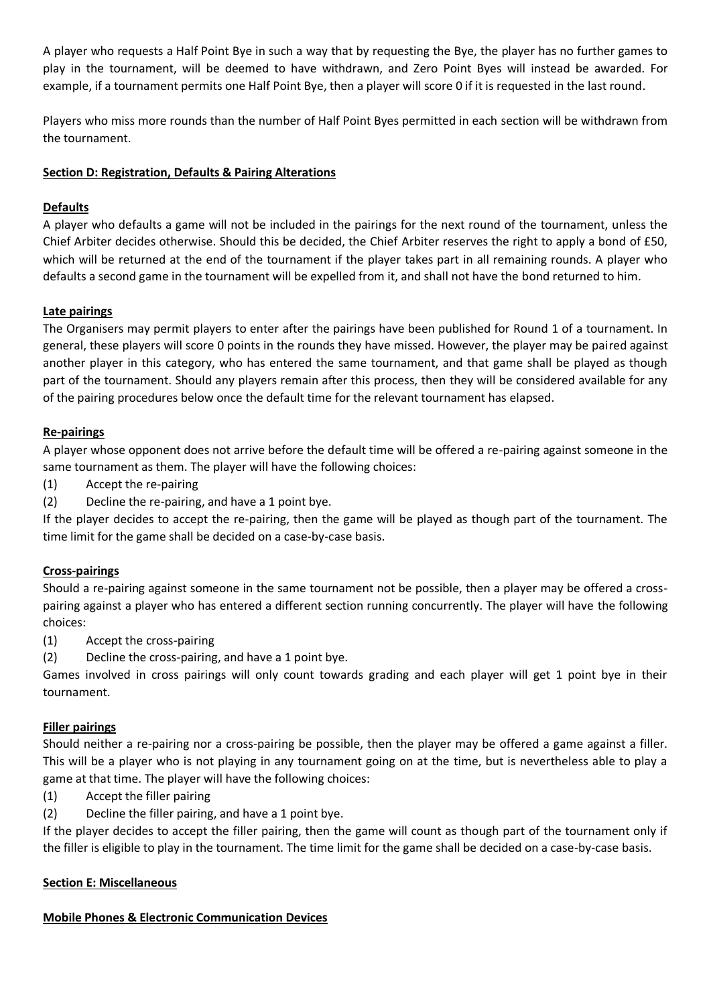A player who requests a Half Point Bye in such a way that by requesting the Bye, the player has no further games to play in the tournament, will be deemed to have withdrawn, and Zero Point Byes will instead be awarded. For example, if a tournament permits one Half Point Bye, then a player will score 0 if it is requested in the last round.

Players who miss more rounds than the number of Half Point Byes permitted in each section will be withdrawn from the tournament.

# **Section D: Registration, Defaults & Pairing Alterations**

# **Defaults**

A player who defaults a game will not be included in the pairings for the next round of the tournament, unless the Chief Arbiter decides otherwise. Should this be decided, the Chief Arbiter reserves the right to apply a bond of £50, which will be returned at the end of the tournament if the player takes part in all remaining rounds. A player who defaults a second game in the tournament will be expelled from it, and shall not have the bond returned to him.

# **Late pairings**

The Organisers may permit players to enter after the pairings have been published for Round 1 of a tournament. In general, these players will score 0 points in the rounds they have missed. However, the player may be paired against another player in this category, who has entered the same tournament, and that game shall be played as though part of the tournament. Should any players remain after this process, then they will be considered available for any of the pairing procedures below once the default time for the relevant tournament has elapsed.

# **Re-pairings**

A player whose opponent does not arrive before the default time will be offered a re-pairing against someone in the same tournament as them. The player will have the following choices:

- (1) Accept the re-pairing
- (2) Decline the re-pairing, and have a 1 point bye.

If the player decides to accept the re-pairing, then the game will be played as though part of the tournament. The time limit for the game shall be decided on a case-by-case basis.

## **Cross-pairings**

Should a re-pairing against someone in the same tournament not be possible, then a player may be offered a crosspairing against a player who has entered a different section running concurrently. The player will have the following choices:

- (1) Accept the cross-pairing
- (2) Decline the cross-pairing, and have a 1 point bye.

Games involved in cross pairings will only count towards grading and each player will get 1 point bye in their tournament.

## **Filler pairings**

Should neither a re-pairing nor a cross-pairing be possible, then the player may be offered a game against a filler. This will be a player who is not playing in any tournament going on at the time, but is nevertheless able to play a game at that time. The player will have the following choices:

- (1) Accept the filler pairing
- (2) Decline the filler pairing, and have a 1 point bye.

If the player decides to accept the filler pairing, then the game will count as though part of the tournament only if the filler is eligible to play in the tournament. The time limit for the game shall be decided on a case-by-case basis.

## **Section E: Miscellaneous**

## **Mobile Phones & Electronic Communication Devices**